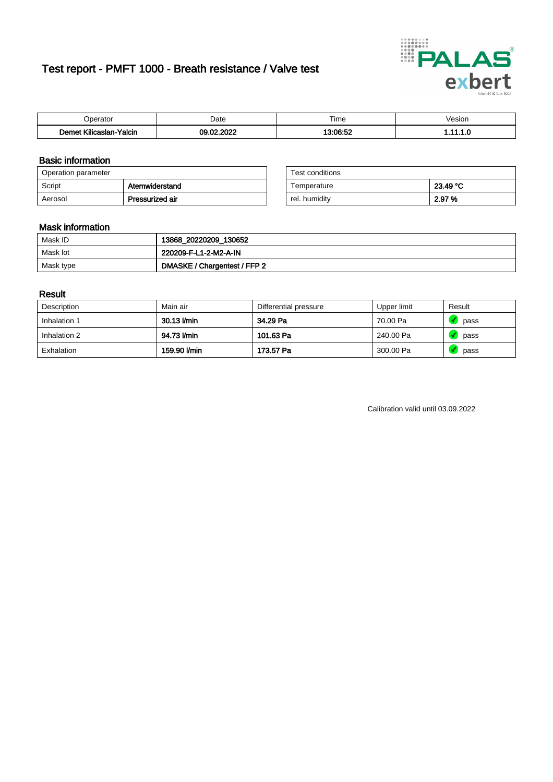# Test report - PMFT 1000 - Breath resistance / Valve test



| Joerator                           | Date                          | $- \cdot$<br>Гіmе | esion/ |
|------------------------------------|-------------------------------|-------------------|--------|
| .<br>Yalcin<br>⊿slan-`<br>∴∧Ilicae | 000 <sup>o</sup><br>00<br>.uz | 10.00.50          | .      |

### Basic information

| Operation parameter |                 | Test conditions |          |
|---------------------|-----------------|-----------------|----------|
| Script              | Atemwiderstand  | Temperature     | 23.49 °C |
| Aerosol             | Pressurized air | rel. humidity   | 2.97 %   |

| Test conditions |          |
|-----------------|----------|
| Temperature     | 23.49 °C |
| rel. humidity   | 2.97 %   |

### Mask information

| Mask ID   | 13868_20220209_130652        |
|-----------|------------------------------|
| Mask lot  | 220209-F-L1-2-M2-A-IN        |
| Mask type | DMASKE / Chargentest / FFP 2 |

### Result

| Description  | Main air     | Differential pressure | Upper limit | Result |
|--------------|--------------|-----------------------|-------------|--------|
| Inhalation 1 | 30.13 l/min  | 34.29 Pa              | 70.00 Pa    | pass   |
| Inhalation 2 | 94.73 I/min  | 101.63 Pa             | 240.00 Pa   | pass   |
| Exhalation   | 159.90 l/min | 173.57 Pa             | 300.00 Pa   | pass   |

Calibration valid until 03.09.2022